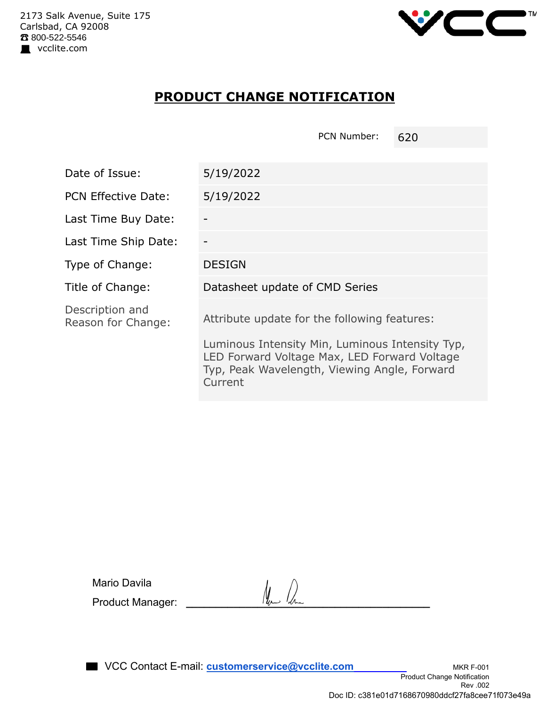

## **PRODUCT CHANGE NOTIFICATION**

PCN Number: 620

| Date of Issue:                        | 5/19/2022                                                                                                                                                  |
|---------------------------------------|------------------------------------------------------------------------------------------------------------------------------------------------------------|
| <b>PCN Effective Date:</b>            | 5/19/2022                                                                                                                                                  |
| Last Time Buy Date:                   |                                                                                                                                                            |
| Last Time Ship Date:                  |                                                                                                                                                            |
| Type of Change:                       | <b>DESIGN</b>                                                                                                                                              |
| Title of Change:                      | Datasheet update of CMD Series                                                                                                                             |
| Description and<br>Reason for Change: | Attribute update for the following features:                                                                                                               |
|                                       | Luminous Intensity Min, Luminous Intensity Typ,<br>LED Forward Voltage Max, LED Forward Voltage<br>Typ, Peak Wavelength, Viewing Angle, Forward<br>Current |

| Mario Davila     |                          |  |
|------------------|--------------------------|--|
| Product Manager: | $\mathcal{U}_{\mu}$<br>4 |  |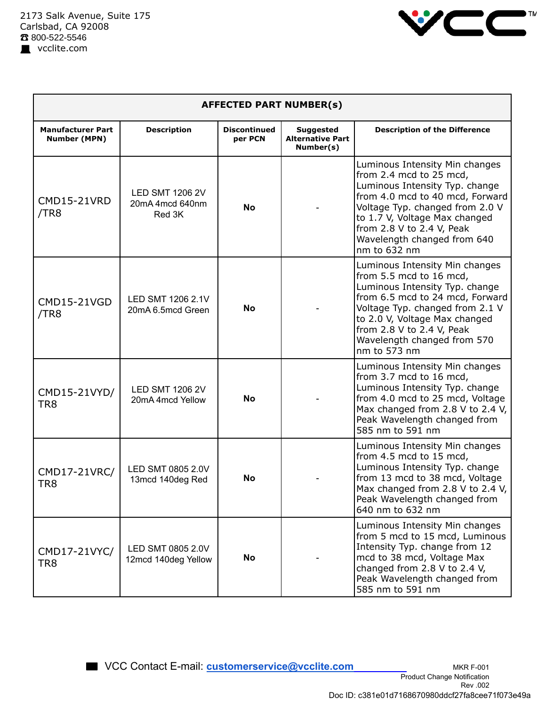

| <b>AFFECTED PART NUMBER(s)</b>                  |                                                     |                                |                                                          |                                                                                                                                                                                                                                                                                |  |  |  |
|-------------------------------------------------|-----------------------------------------------------|--------------------------------|----------------------------------------------------------|--------------------------------------------------------------------------------------------------------------------------------------------------------------------------------------------------------------------------------------------------------------------------------|--|--|--|
| <b>Manufacturer Part</b><br><b>Number (MPN)</b> | <b>Description</b>                                  | <b>Discontinued</b><br>per PCN | <b>Suggested</b><br><b>Alternative Part</b><br>Number(s) | <b>Description of the Difference</b>                                                                                                                                                                                                                                           |  |  |  |
| <b>CMD15-21VRD</b><br>/TR8                      | <b>LED SMT 1206 2V</b><br>20mA 4mcd 640nm<br>Red 3K | <b>No</b>                      |                                                          | Luminous Intensity Min changes<br>from 2.4 mcd to 25 mcd,<br>Luminous Intensity Typ. change<br>from 4.0 mcd to 40 mcd, Forward<br>Voltage Typ. changed from 2.0 V<br>to 1.7 V, Voltage Max changed<br>from 2.8 V to 2.4 V, Peak<br>Wavelength changed from 640<br>nm to 632 nm |  |  |  |
| <b>CMD15-21VGD</b><br>/TR8                      | LED SMT 1206 2.1V<br>20mA 6.5mcd Green              | No                             |                                                          | Luminous Intensity Min changes<br>from 5.5 mcd to 16 mcd,<br>Luminous Intensity Typ. change<br>from 6.5 mcd to 24 mcd, Forward<br>Voltage Typ. changed from 2.1 V<br>to 2.0 V, Voltage Max changed<br>from 2.8 V to 2.4 V, Peak<br>Wavelength changed from 570<br>nm to 573 nm |  |  |  |
| CMD15-21VYD/<br>TR <sub>8</sub>                 | <b>LED SMT 1206 2V</b><br>20mA 4mcd Yellow          | <b>No</b>                      |                                                          | Luminous Intensity Min changes<br>from 3.7 mcd to 16 mcd,<br>Luminous Intensity Typ. change<br>from 4.0 mcd to 25 mcd, Voltage<br>Max changed from 2.8 V to 2.4 V,<br>Peak Wavelength changed from<br>585 nm to 591 nm                                                         |  |  |  |
| CMD17-21VRC/<br>TR8                             | LED SMT 0805 2.0V<br>13mcd 140deg Red               | No                             |                                                          | Luminous Intensity Min changes<br>from 4.5 mcd to 15 mcd,<br>Luminous Intensity Typ. change<br>from 13 mcd to 38 mcd, Voltage<br>Max changed from 2.8 V to 2.4 V,<br>Peak Wavelength changed from<br>640 nm to 632 nm                                                          |  |  |  |
| CMD17-21VYC/<br>TR8                             | LED SMT 0805 2.0V<br>12mcd 140deg Yellow            | No                             |                                                          | Luminous Intensity Min changes<br>from 5 mcd to 15 mcd, Luminous<br>Intensity Typ. change from 12<br>mcd to 38 mcd, Voltage Max<br>changed from 2.8 V to 2.4 V,<br>Peak Wavelength changed from<br>585 nm to 591 nm                                                            |  |  |  |